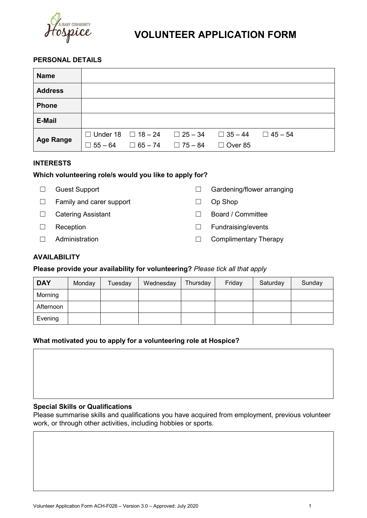

# **VOLUNTEER APPLICATION FORM**

# **PERSONAL DETAILS**

| <b>Name</b>      |  |                                                             |                                                    |  |
|------------------|--|-------------------------------------------------------------|----------------------------------------------------|--|
| <b>Address</b>   |  |                                                             |                                                    |  |
| <b>Phone</b>     |  |                                                             |                                                    |  |
| <b>E-Mail</b>    |  |                                                             |                                                    |  |
| <b>Age Range</b> |  | $\Box$ 55 – 64 $\Box$ 65 – 74 $\Box$ 75 – 84 $\Box$ Over 85 | □ Under 18 □ 18 - 24 □ 25 - 34 □ 35 - 44 □ 45 - 54 |  |

## **INTERESTS**

# **Which volunteering role/s would you like to apply for?**

| <b>Guest Support</b> |  |
|----------------------|--|
|----------------------|--|

- ☐ Family and carer support ☐ Op Shop
- 
- 
- 
- □ Gardening/flower arranging
- 
- ☐ Catering Assistant ☐ Board / Committee
- ☐ Reception ☐ Fundraising/events
- ☐ Administration ☐ Complimentary Therapy

# **AVAILABILITY**

## **Please provide your availability for volunteering?** *Please tick all that apply*

| <b>DAY</b> | Monday | Tuesday | Wednesday | Thursday | Friday | Saturday | Sunday |
|------------|--------|---------|-----------|----------|--------|----------|--------|
| Morning    |        |         |           |          |        |          |        |
| Afternoon  |        |         |           |          |        |          |        |
| Evening    |        |         |           |          |        |          |        |

## **What motivated you to apply for a volunteering role at Hospice?**

## **Special Skills or Qualifications**

Please summarise skills and qualifications you have acquired from employment, previous volunteer work, or through other activities, including hobbies or sports.